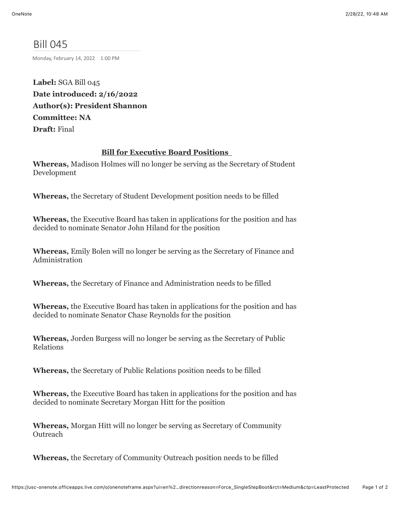## Bill 045

Monday, February 14, 2022 1:00 PM

**Label:** SGA Bill 045 **Date introduced: 2/16/2022 Author(s): President Shannon Committee: NA Draft:** Final

## **Bill for Executive Board Positions**

**Whereas,** Madison Holmes will no longer be serving as the Secretary of Student Development

**Whereas,** the Secretary of Student Development position needs to be filled

**Whereas,** the Executive Board has taken in applications for the position and has decided to nominate Senator John Hiland for the position

**Whereas,** Emily Bolen will no longer be serving as the Secretary of Finance and Administration

**Whereas,** the Secretary of Finance and Administration needs to be filled

**Whereas,** the Executive Board has taken in applications for the position and has decided to nominate Senator Chase Reynolds for the position

**Whereas,** Jorden Burgess will no longer be serving as the Secretary of Public Relations

**Whereas,** the Secretary of Public Relations position needs to be filled

**Whereas,** the Executive Board has taken in applications for the position and has decided to nominate Secretary Morgan Hitt for the position

**Whereas,** Morgan Hitt will no longer be serving as Secretary of Community **Outreach** 

**Whereas,** the Secretary of Community Outreach position needs to be filled